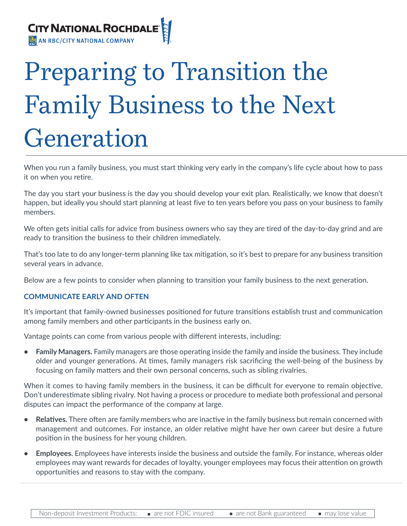

# Preparing to Transition the Family Business to the Next Generation

When you run a family business, you must start thinking very early in the company's life cycle about how to pass it on when you retire.

The day you start your business is the day you should develop your exit plan. Realistically, we know that doesn't happen, but ideally you should start planning at least five to ten years before you pass on your business to family members.

We often gets initial calls for advice from business owners who say they are tired of the day-to-day grind and are ready to transition the business to their children immediately.

That's too late to do any longer-term planning like tax mitigation, so it's best to prepare for any business transition several years in advance.

Below are a few points to consider when planning to transition your family business to the next generation.

#### **COMMUNICATE EARLY AND OFTEN**

It's important that family-owned businesses positioned for future transitions establish trust and communication among family members and other participants in the business early on.

Vantage points can come from various people with different interests, including:

**• Family Managers.** Family managers are those operating inside the family and inside the business. They include older and younger generations. At times, family managers risk sacrificing the well-being of the business by focusing on family matters and their own personal concerns, such as sibling rivalries.

When it comes to having family members in the business, it can be difficult for everyone to remain objective. Don't underestimate sibling rivalry. Not having a process or procedure to mediate both professional and personal disputes can impact the performance of the company at large.

- **• Relatives.** There often are family members who are inactive in the family business but remain concerned with management and outcomes. For instance, an older relative might have her own career but desire a future position in the business for her young children.
- **• Employees.** Employees have interests inside the business and outside the family. For instance, whereas older employees may want rewards for decades of loyalty, younger employees may focus their attention on growth opportunities and reasons to stay with the company.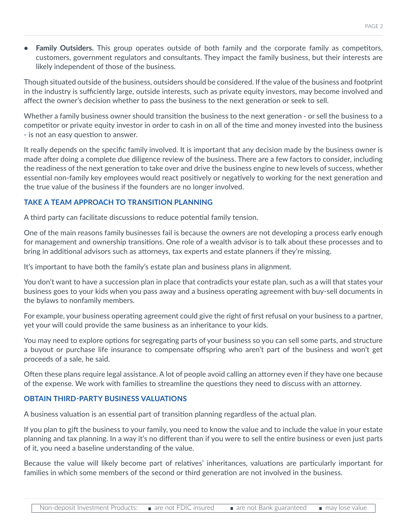**• Family Outsiders.** This group operates outside of both family and the corporate family as competitors, customers, government regulators and consultants. They impact the family business, but their interests are likely independent of those of the business.

Though situated outside of the business, outsiders should be considered. If the value of the business and footprint in the industry is sufficiently large, outside interests, such as private equity investors, may become involved and affect the owner's decision whether to pass the business to the next generation or seek to sell.

Whether a family business owner should transition the business to the next generation - or sell the business to a competitor or private equity investor in order to cash in on all of the time and money invested into the business - is not an easy question to answer.

It really depends on the specific family involved. It is important that any decision made by the business owner is made after doing a complete due diligence review of the business. There are a few factors to consider, including the readiness of the next generation to take over and drive the business engine to new levels of success, whether essential non-family key employees would react positively or negatively to working for the next generation and the true value of the business if the founders are no longer involved.

### **TAKE A TEAM APPROACH TO TRANSITION PLANNING**

A third party can facilitate discussions to reduce potential family tension.

One of the main reasons family businesses fail is because the owners are not developing a process early enough for management and ownership transitions. One role of a wealth advisor is to talk about these processes and to bring in additional advisors such as attorneys, tax experts and estate planners if they're missing.

It's important to have both the family's estate plan and business plans in alignment.

You don't want to have a succession plan in place that contradicts your estate plan, such as a will that states your business goes to your kids when you pass away and a business operating agreement with buy-sell documents in the bylaws to nonfamily members.

For example, your business operating agreement could give the right of first refusal on your business to a partner, yet your will could provide the same business as an inheritance to your kids.

You may need to explore options for segregating parts of your business so you can sell some parts, and structure a buyout or purchase life insurance to compensate offspring who aren't part of the business and won't get proceeds of a sale, he said.

Often these plans require legal assistance. A lot of people avoid calling an attorney even if they have one because of the expense. We work with families to streamline the questions they need to discuss with an attorney.

### **OBTAIN THIRD-PARTY BUSINESS VALUATIONS**

A business valuation is an essential part of transition planning regardless of the actual plan.

If you plan to gift the business to your family, you need to know the value and to include the value in your estate planning and tax planning. In a way it's no different than if you were to sell the entire business or even just parts of it, you need a baseline understanding of the value.

Because the value will likely become part of relatives' inheritances, valuations are particularly important for families in which some members of the second or third generation are not involved in the business.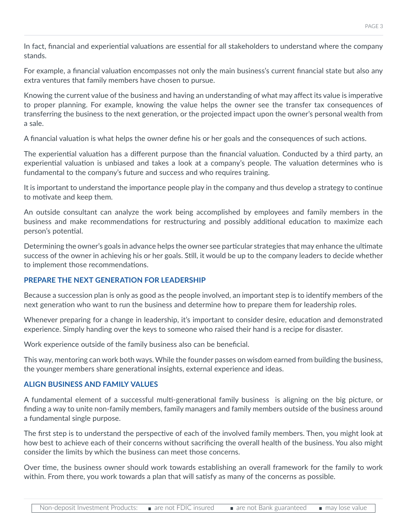For example, a financial valuation encompasses not only the main business's current financial state but also any extra ventures that family members have chosen to pursue.

Knowing the current value of the business and having an understanding of what may affect its value is imperative to proper planning. For example, knowing the value helps the owner see the transfer tax consequences of transferring the business to the next generation, or the projected impact upon the owner's personal wealth from a sale.

A financial valuation is what helps the owner define his or her goals and the consequences of such actions.

The experiential valuation has a different purpose than the financial valuation. Conducted by a third party, an experiential valuation is unbiased and takes a look at a company's people. The valuation determines who is fundamental to the company's future and success and who requires training.

It is important to understand the importance people play in the company and thus develop a strategy to continue to motivate and keep them.

An outside consultant can analyze the work being accomplished by employees and family members in the business and make recommendations for restructuring and possibly additional education to maximize each person's potential.

Determining the owner's goals in advance helps the owner see particular strategies that may enhance the ultimate success of the owner in achieving his or her goals. Still, it would be up to the company leaders to decide whether to implement those recommendations.

# **PREPARE THE NEXT GENERATION FOR LEADERSHIP**

Because a succession plan is only as good as the people involved, an important step is to identify members of the next generation who want to run the business and determine how to prepare them for leadership roles.

Whenever preparing for a change in leadership, it's important to consider desire, education and demonstrated experience. Simply handing over the keys to someone who raised their hand is a recipe for disaster.

Work experience outside of the family business also can be beneficial.

This way, mentoring can work both ways. While the founder passes on wisdom earned from building the business, the younger members share generational insights, external experience and ideas.

## **ALIGN BUSINESS AND FAMILY VALUES**

A fundamental element of a successful multi-generational family business is aligning on the big picture, or finding a way to unite non-family members, family managers and family members outside of the business around a fundamental single purpose.

The first step is to understand the perspective of each of the involved family members. Then, you might look at how best to achieve each of their concerns without sacrificing the overall health of the business. You also might consider the limits by which the business can meet those concerns.

Over time, the business owner should work towards establishing an overall framework for the family to work within. From there, you work towards a plan that will satisfy as many of the concerns as possible.